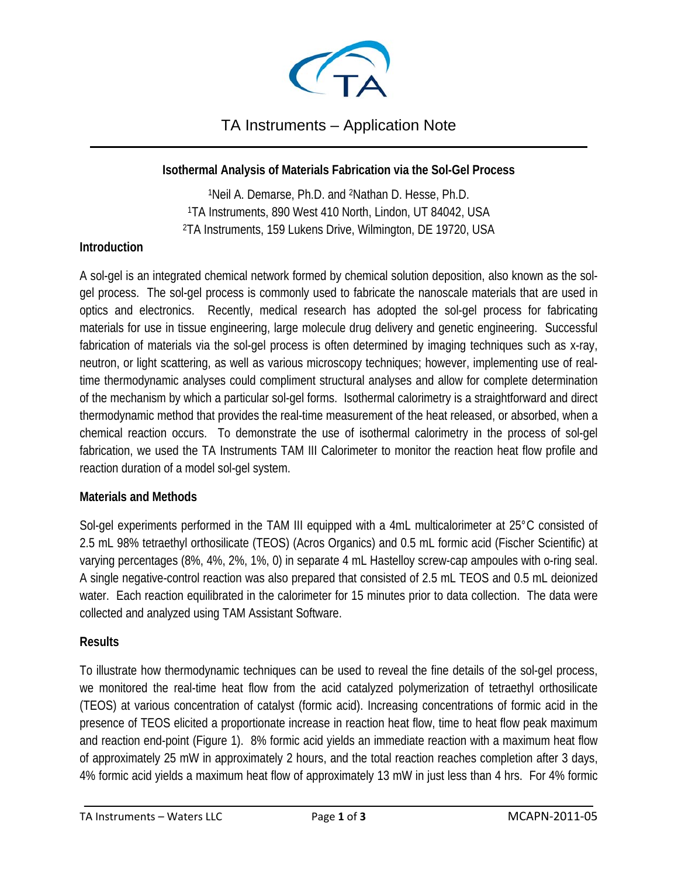

### TA Instruments – Application Note \_\_\_\_\_\_\_\_\_\_\_\_\_\_\_\_\_\_\_\_\_\_\_\_\_\_\_\_\_\_\_\_\_\_\_\_\_\_\_\_\_\_\_\_\_\_\_\_\_\_\_\_\_\_\_\_\_\_\_\_\_\_\_\_\_\_\_\_\_\_\_\_\_\_\_\_\_\_\_\_\_\_

### **Isothermal Analysis of Materials Fabrication via the Sol-Gel Process**

1Neil A. Demarse, Ph.D. and 2Nathan D. Hesse, Ph.D. 1TA Instruments, 890 West 410 North, Lindon, UT 84042, USA 2TA Instruments, 159 Lukens Drive, Wilmington, DE 19720, USA

### **Introduction**

A sol-gel is an integrated chemical network formed by chemical solution deposition, also known as the solgel process. The sol-gel process is commonly used to fabricate the nanoscale materials that are used in optics and electronics. Recently, medical research has adopted the sol-gel process for fabricating materials for use in tissue engineering, large molecule drug delivery and genetic engineering. Successful fabrication of materials via the sol-gel process is often determined by imaging techniques such as x-ray, neutron, or light scattering, as well as various microscopy techniques; however, implementing use of realtime thermodynamic analyses could compliment structural analyses and allow for complete determination of the mechanism by which a particular sol-gel forms. Isothermal calorimetry is a straightforward and direct thermodynamic method that provides the real-time measurement of the heat released, or absorbed, when a chemical reaction occurs. To demonstrate the use of isothermal calorimetry in the process of sol-gel fabrication, we used the TA Instruments TAM III Calorimeter to monitor the reaction heat flow profile and reaction duration of a model sol-gel system.

### **Materials and Methods**

Sol-gel experiments performed in the TAM III equipped with a 4mL multicalorimeter at 25°C consisted of 2.5 mL 98% tetraethyl orthosilicate (TEOS) (Acros Organics) and 0.5 mL formic acid (Fischer Scientific) at varying percentages (8%, 4%, 2%, 1%, 0) in separate 4 mL Hastelloy screw-cap ampoules with o-ring seal. A single negative-control reaction was also prepared that consisted of 2.5 mL TEOS and 0.5 mL deionized water. Each reaction equilibrated in the calorimeter for 15 minutes prior to data collection. The data were collected and analyzed using TAM Assistant Software.

### **Results**

To illustrate how thermodynamic techniques can be used to reveal the fine details of the sol-gel process, we monitored the real-time heat flow from the acid catalyzed polymerization of tetraethyl orthosilicate (TEOS) at various concentration of catalyst (formic acid). Increasing concentrations of formic acid in the presence of TEOS elicited a proportionate increase in reaction heat flow, time to heat flow peak maximum and reaction end-point (Figure 1). 8% formic acid yields an immediate reaction with a maximum heat flow of approximately 25 mW in approximately 2 hours, and the total reaction reaches completion after 3 days, 4% formic acid yields a maximum heat flow of approximately 13 mW in just less than 4 hrs. For 4% formic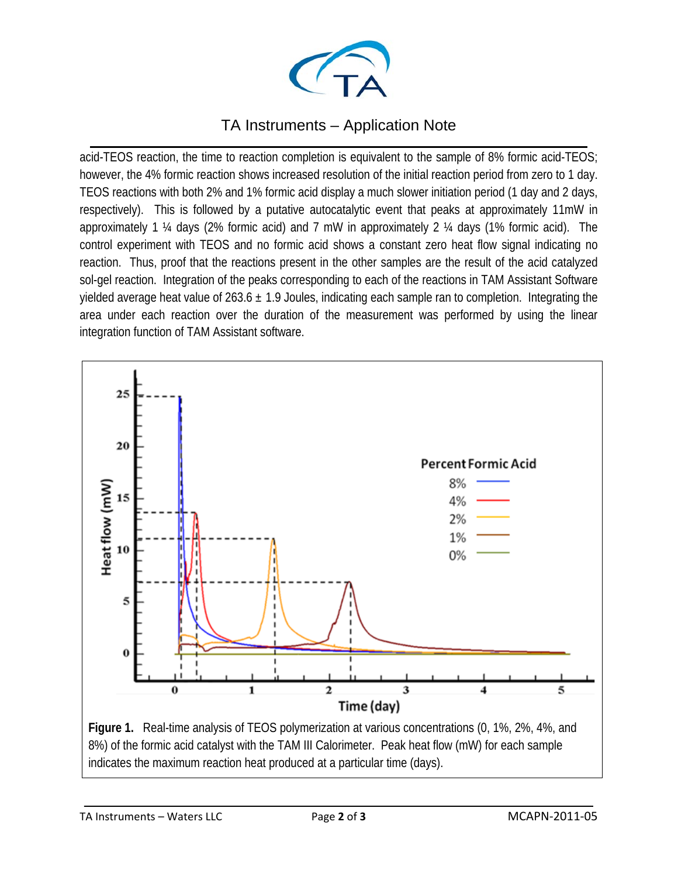

# TA Instruments – Application Note

\_\_\_\_\_\_\_\_\_\_\_\_\_\_\_\_\_\_\_\_\_\_\_\_\_\_\_\_\_\_\_\_\_\_\_\_\_\_\_\_\_\_\_\_\_\_\_\_\_\_\_\_\_\_\_\_\_\_\_\_\_\_\_\_\_\_\_\_\_\_\_\_\_\_\_\_\_\_\_\_\_\_ acid-TEOS reaction, the time to reaction completion is equivalent to the sample of 8% formic acid-TEOS; however, the 4% formic reaction shows increased resolution of the initial reaction period from zero to 1 day. TEOS reactions with both 2% and 1% formic acid display a much slower initiation period (1 day and 2 days, respectively). This is followed by a putative autocatalytic event that peaks at approximately 11mW in approximately 1 ¼ days (2% formic acid) and 7 mW in approximately 2 ¼ days (1% formic acid). The control experiment with TEOS and no formic acid shows a constant zero heat flow signal indicating no reaction. Thus, proof that the reactions present in the other samples are the result of the acid catalyzed sol-gel reaction. Integration of the peaks corresponding to each of the reactions in TAM Assistant Software yielded average heat value of 263.6  $\pm$  1.9 Joules, indicating each sample ran to completion. Integrating the area under each reaction over the duration of the measurement was performed by using the linear integration function of TAM Assistant software.



8%) of the formic acid catalyst with the TAM III Calorimeter. Peak heat flow (mW) for each sample indicates the maximum reaction heat produced at a particular time (days).